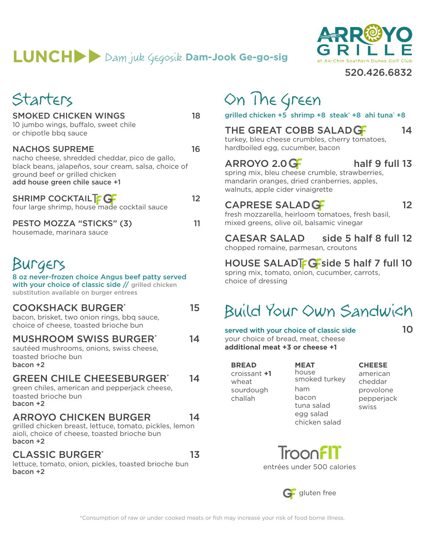## $LUNCH$   $>$   $Dam$  juk  $\zeta$ egosik **Dam-Jook Ge-go-sig**



#### 520.426.6832

| Starters                    |    |
|-----------------------------|----|
| <b>SMOKED CHICKEN WINGS</b> | 18 |

or chipotle bbq sauce

10 jumbo wings, buffalo, sweet chile

ground beef or grilled chicken add house green chile sauce +1

housemade, marinara sauce

Burgers

NACHOS SUPREME 16

SHRIMP COCKTAIL **12** 12

PESTO MOZZA "STICKS" (3) 11

COOKSHACK BURGER\* 15

8 oz never-frozen choice Angus beef patty served with your choice of classic side // grilled chicken

nacho cheese, shredded cheddar, pico de gallo, black beans, jalapeños, sour cream, salsa, choice of

four large shrimp, house made cocktail sauce

On The Green

grilled chicken +5 shrimp +8 steak\* +8 ahi tuna\* +8

## THE GREAT COBB SALAD GET 14

turkey, bleu cheese crumbles, cherry tomatoes, hardboiled egg, cucumber, bacon

 $ARROYO 2.0  $G$  half 9 full 13$ 

spring mix, bleu cheese crumble, strawberries, mandarin oranges, dried cranberries, apples, walnuts, apple cider vinaigrette

### CAPRESE SALAD GENERAL 2012

fresh mozzarella, heirloom tomatoes, fresh basil, mixed greens, olive oil, balsamic vinegar

CAESAR SALAD side 5 half 8 full 12 chopped romaine, parmesan, croutons

HOUSE SALAD $T_f$ G-side 5 half 7 full 10 spring mix, tomato, onion, cucumber, carrots, choice of dressing

## Build Your Own Sandwich

served with your choice of classic side **10** your choice of bread, meat, cheese **additional meat +3 or cheese +1**

**BREAD** croissant **+1** wheat sourdough challah

**MEAT** house smoked turkey ham bacon tuna salad egg salad chicken salad

**CHEESE** american cheddar provolone pepperjack swiss



entrées under 500 calories



MUSHROOM SWISS BURGER<sup>\*</sup> 14 sautéed mushrooms, onions, swiss cheese, toasted brioche bun bacon +2

### CLASSIC BURGER<sup>\*</sup> 13

lettuce, tomato, onion, pickles, toasted brioche bun bacon +2

\*Consumption of raw or under cooked meats or fish may increase your risk of food borne illness.

### GREEN CHILE CHEESEBURGER\* 14

green chiles, american and pepperjack cheese, toasted brioche bun bacon +2

bacon, brisket, two onion rings, bbq sauce, choice of cheese, toasted brioche bun

substitution available on burger entrees

### ARROYO CHICKEN BURGER 14

grilled chicken breast, lettuce, tomato, pickles, lemon aioli, choice of cheese, toasted brioche bun bacon +2